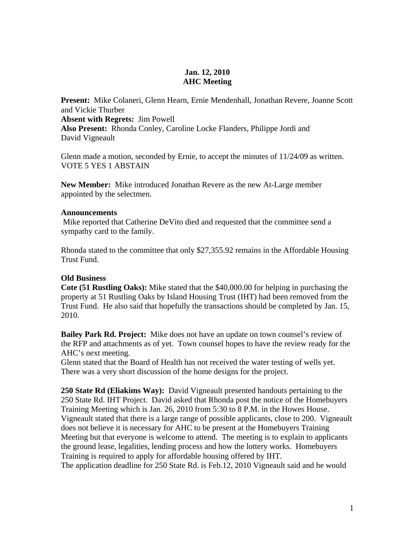## **Jan. 12, 2010 AHC Meeting**

**Present:** Mike Colaneri, Glenn Hearn, Ernie Mendenhall, Jonathan Revere, Joanne Scott and Vickie Thurber **Absent with Regrets:** Jim Powell **Also Present:** Rhonda Conley, Caroline Locke Flanders, Philippe Jordi and David Vigneault

Glenn made a motion, seconded by Ernie, to accept the minutes of 11/24/09 as written. VOTE 5 YES 1 ABSTAIN

**New Member:** Mike introduced Jonathan Revere as the new At-Large member appointed by the selectmen.

## **Announcements**

Mike reported that Catherine DeVito died and requested that the committee send a sympathy card to the family.

Rhonda stated to the committee that only \$27,355.92 remains in the Affordable Housing Trust Fund.

## **Old Business**

**Cote (51 Rustling Oaks):** Mike stated that the \$40,000.00 for helping in purchasing the property at 51 Rustling Oaks by Island Housing Trust (IHT) had been removed from the Trust Fund. He also said that hopefully the transactions should be completed by Jan. 15, 2010.

**Bailey Park Rd. Project:** Mike does not have an update on town counsel's review of the RFP and attachments as of yet. Town counsel hopes to have the review ready for the AHC's next meeting.

Glenn stated that the Board of Health has not received the water testing of wells yet. There was a very short discussion of the home designs for the project.

**250 State Rd (Eliakims Way):** David Vigneault presented handouts pertaining to the 250 State Rd. IHT Project. David asked that Rhonda post the notice of the Homebuyers Training Meeting which is Jan. 26, 2010 from 5:30 to 8 P.M. in the Howes House. Vigneault stated that there is a large range of possible applicants, close to 200. Vigneault does not believe it is necessary for AHC to be present at the Homebuyers Training Meeting but that everyone is welcome to attend. The meeting is to explain to applicants the ground lease, legalities, lending process and how the lottery works. Homebuyers Training is required to apply for affordable housing offered by IHT. The application deadline for 250 State Rd. is Feb.12, 2010 Vigneault said and he would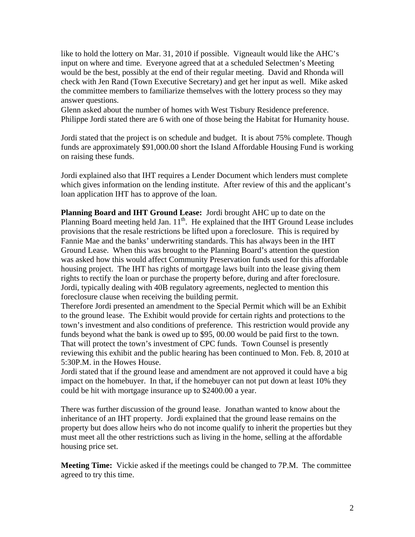like to hold the lottery on Mar. 31, 2010 if possible. Vigneault would like the AHC's input on where and time. Everyone agreed that at a scheduled Selectmen's Meeting would be the best, possibly at the end of their regular meeting. David and Rhonda will check with Jen Rand (Town Executive Secretary) and get her input as well. Mike asked the committee members to familiarize themselves with the lottery process so they may answer questions.

Glenn asked about the number of homes with West Tisbury Residence preference. Philippe Jordi stated there are 6 with one of those being the Habitat for Humanity house.

Jordi stated that the project is on schedule and budget. It is about 75% complete. Though funds are approximately \$91,000.00 short the Island Affordable Housing Fund is working on raising these funds.

Jordi explained also that IHT requires a Lender Document which lenders must complete which gives information on the lending institute. After review of this and the applicant's loan application IHT has to approve of the loan.

**Planning Board and IHT Ground Lease:** Jordi brought AHC up to date on the Planning Board meeting held Jan.  $11<sup>th</sup>$ . He explained that the IHT Ground Lease includes provisions that the resale restrictions be lifted upon a foreclosure. This is required by Fannie Mae and the banks' underwriting standards. This has always been in the IHT Ground Lease. When this was brought to the Planning Board's attention the question was asked how this would affect Community Preservation funds used for this affordable housing project. The IHT has rights of mortgage laws built into the lease giving them rights to rectify the loan or purchase the property before, during and after foreclosure. Jordi, typically dealing with 40B regulatory agreements, neglected to mention this foreclosure clause when receiving the building permit.

Therefore Jordi presented an amendment to the Special Permit which will be an Exhibit to the ground lease. The Exhibit would provide for certain rights and protections to the town's investment and also conditions of preference. This restriction would provide any funds beyond what the bank is owed up to \$95, 00.00 would be paid first to the town. That will protect the town's investment of CPC funds. Town Counsel is presently reviewing this exhibit and the public hearing has been continued to Mon. Feb. 8, 2010 at 5:30P.M. in the Howes House.

Jordi stated that if the ground lease and amendment are not approved it could have a big impact on the homebuyer. In that, if the homebuyer can not put down at least 10% they could be hit with mortgage insurance up to \$2400.00 a year.

There was further discussion of the ground lease. Jonathan wanted to know about the inheritance of an IHT property. Jordi explained that the ground lease remains on the property but does allow heirs who do not income qualify to inherit the properties but they must meet all the other restrictions such as living in the home, selling at the affordable housing price set.

**Meeting Time:** Vickie asked if the meetings could be changed to 7P.M. The committee agreed to try this time.